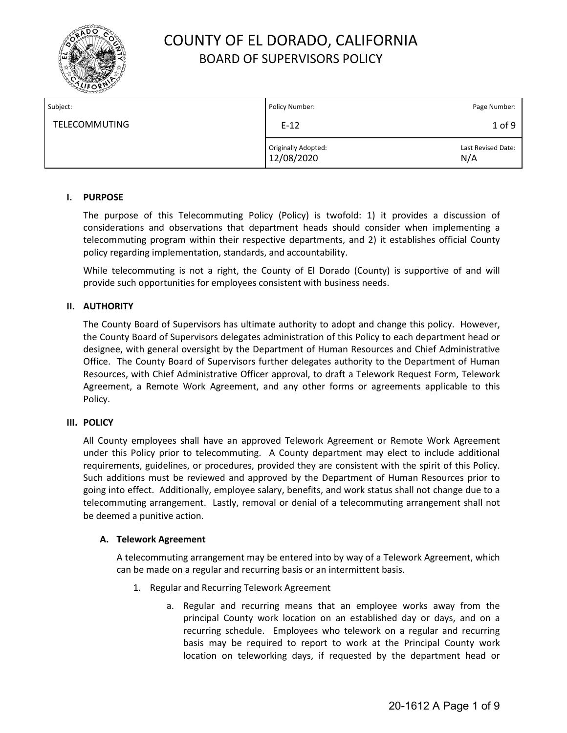

| Subject:             | Policy Number:                    | Page Number:              |
|----------------------|-----------------------------------|---------------------------|
| <b>TELECOMMUTING</b> | $E-12$                            | $1$ of 9                  |
|                      | Originally Adopted:<br>12/08/2020 | Last Revised Date:<br>N/A |

#### **I. PURPOSE**

The purpose of this Telecommuting Policy (Policy) is twofold: 1) it provides a discussion of considerations and observations that department heads should consider when implementing a telecommuting program within their respective departments, and 2) it establishes official County policy regarding implementation, standards, and accountability.

While telecommuting is not a right, the County of El Dorado (County) is supportive of and will provide such opportunities for employees consistent with business needs.

### **II. AUTHORITY**

The County Board of Supervisors has ultimate authority to adopt and change this policy. However, the County Board of Supervisors delegates administration of this Policy to each department head or designee, with general oversight by the Department of Human Resources and Chief Administrative Office. The County Board of Supervisors further delegates authority to the Department of Human Resources, with Chief Administrative Officer approval, to draft a Telework Request Form, Telework Agreement, a Remote Work Agreement, and any other forms or agreements applicable to this Policy.

#### **III. POLICY**

All County employees shall have an approved Telework Agreement or Remote Work Agreement under this Policy prior to telecommuting. A County department may elect to include additional requirements, guidelines, or procedures, provided they are consistent with the spirit of this Policy. Such additions must be reviewed and approved by the Department of Human Resources prior to going into effect. Additionally, employee salary, benefits, and work status shall not change due to a telecommuting arrangement. Lastly, removal or denial of a telecommuting arrangement shall not be deemed a punitive action.

#### **A. Telework Agreement**

A telecommuting arrangement may be entered into by way of a Telework Agreement, which can be made on a regular and recurring basis or an intermittent basis.

- 1. Regular and Recurring Telework Agreement
	- a. Regular and recurring means that an employee works away from the principal County work location on an established day or days, and on a recurring schedule. Employees who telework on a regular and recurring basis may be required to report to work at the Principal County work location on teleworking days, if requested by the department head or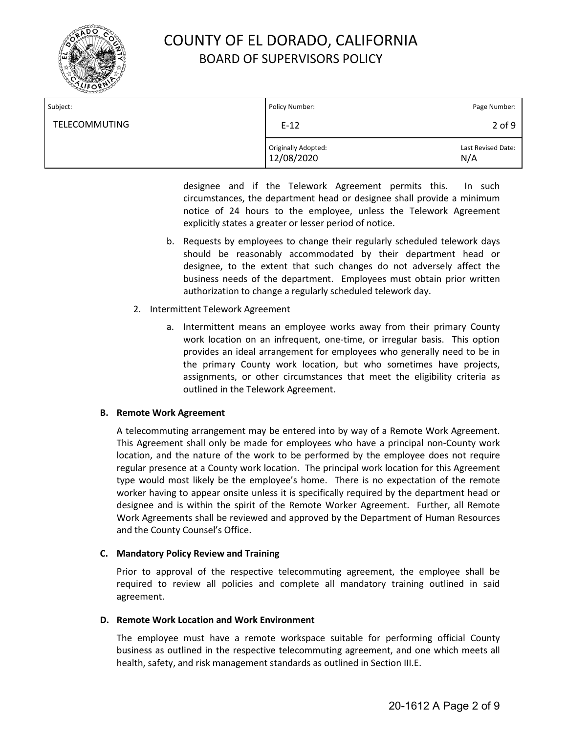

| Subject:             | Policy Number:                    | Page Number:              |
|----------------------|-----------------------------------|---------------------------|
| <b>TELECOMMUTING</b> | $E-12$                            | $2$ of $9$                |
|                      | Originally Adopted:<br>12/08/2020 | Last Revised Date:<br>N/A |

designee and if the Telework Agreement permits this. In such circumstances, the department head or designee shall provide a minimum notice of 24 hours to the employee, unless the Telework Agreement explicitly states a greater or lesser period of notice.

- b. Requests by employees to change their regularly scheduled telework days should be reasonably accommodated by their department head or designee, to the extent that such changes do not adversely affect the business needs of the department. Employees must obtain prior written authorization to change a regularly scheduled telework day.
- 2. Intermittent Telework Agreement
	- a. Intermittent means an employee works away from their primary County work location on an infrequent, one-time, or irregular basis. This option provides an ideal arrangement for employees who generally need to be in the primary County work location, but who sometimes have projects, assignments, or other circumstances that meet the eligibility criteria as outlined in the Telework Agreement.

#### **B. Remote Work Agreement**

A telecommuting arrangement may be entered into by way of a Remote Work Agreement. This Agreement shall only be made for employees who have a principal non-County work location, and the nature of the work to be performed by the employee does not require regular presence at a County work location. The principal work location for this Agreement type would most likely be the employee's home. There is no expectation of the remote worker having to appear onsite unless it is specifically required by the department head or designee and is within the spirit of the Remote Worker Agreement. Further, all Remote Work Agreements shall be reviewed and approved by the Department of Human Resources and the County Counsel's Office.

### **C. Mandatory Policy Review and Training**

Prior to approval of the respective telecommuting agreement, the employee shall be required to review all policies and complete all mandatory training outlined in said agreement.

#### **D. Remote Work Location and Work Environment**

The employee must have a remote workspace suitable for performing official County business as outlined in the respective telecommuting agreement, and one which meets all health, safety, and risk management standards as outlined in Section III.E.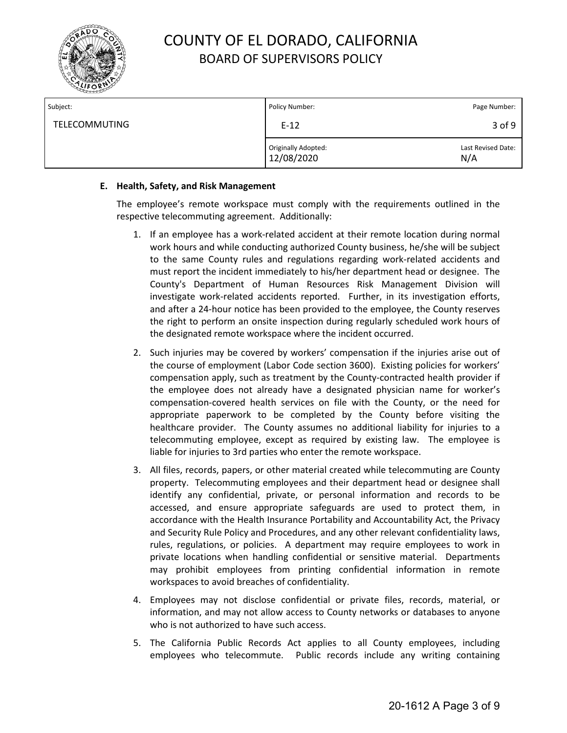

| Subject:             | Policy Number:                    | Page Number:              |
|----------------------|-----------------------------------|---------------------------|
| <b>TELECOMMUTING</b> | $E-12$                            | 3 of 9                    |
|                      | Originally Adopted:<br>12/08/2020 | Last Revised Date:<br>N/A |

### **E. Health, Safety, and Risk Management**

The employee's remote workspace must comply with the requirements outlined in the respective telecommuting agreement. Additionally:

- 1. If an employee has a work-related accident at their remote location during normal work hours and while conducting authorized County business, he/she will be subject to the same County rules and regulations regarding work-related accidents and must report the incident immediately to his/her department head or designee. The County's Department of Human Resources Risk Management Division will investigate work-related accidents reported. Further, in its investigation efforts, and after a 24-hour notice has been provided to the employee, the County reserves the right to perform an onsite inspection during regularly scheduled work hours of the designated remote workspace where the incident occurred.
- 2. Such injuries may be covered by workers' compensation if the injuries arise out of the course of employment (Labor Code section 3600). Existing policies for workers' compensation apply, such as treatment by the County-contracted health provider if the employee does not already have a designated physician name for worker's compensation-covered health services on file with the County, or the need for appropriate paperwork to be completed by the County before visiting the healthcare provider. The County assumes no additional liability for injuries to a telecommuting employee, except as required by existing law. The employee is liable for injuries to 3rd parties who enter the remote workspace.
- 3. All files, records, papers, or other material created while telecommuting are County property. Telecommuting employees and their department head or designee shall identify any confidential, private, or personal information and records to be accessed, and ensure appropriate safeguards are used to protect them, in accordance with the Health Insurance Portability and Accountability Act, the Privacy and Security Rule Policy and Procedures, and any other relevant confidentiality laws, rules, regulations, or policies. A department may require employees to work in private locations when handling confidential or sensitive material. Departments may prohibit employees from printing confidential information in remote workspaces to avoid breaches of confidentiality.
- 4. Employees may not disclose confidential or private files, records, material, or information, and may not allow access to County networks or databases to anyone who is not authorized to have such access.
- 5. The California Public Records Act applies to all County employees, including employees who telecommute. Public records include any writing containing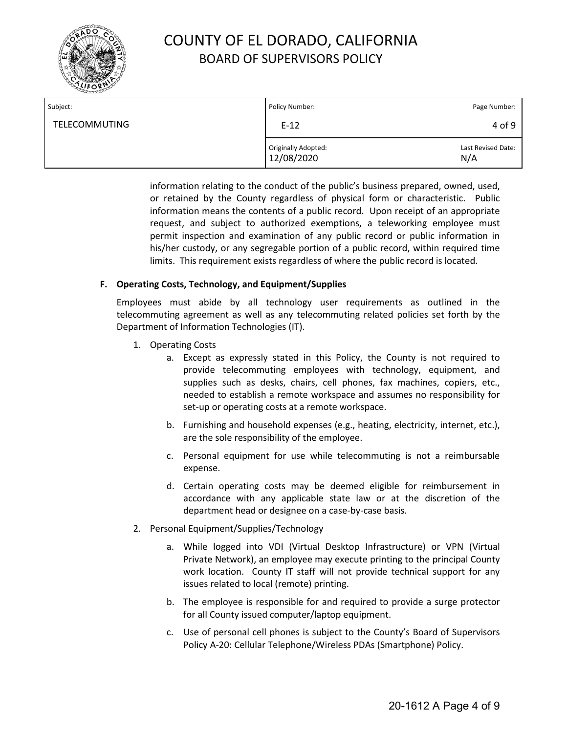

| Subject:             | Policy Number:                    | Page Number:              |
|----------------------|-----------------------------------|---------------------------|
| <b>TELECOMMUTING</b> | $E-12$                            | 4 of 9                    |
|                      | Originally Adopted:<br>12/08/2020 | Last Revised Date:<br>N/A |

information relating to the conduct of the public's business prepared, owned, used, or retained by the County regardless of physical form or characteristic. Public information means the contents of a public record. Upon receipt of an appropriate request, and subject to authorized exemptions, a teleworking employee must permit inspection and examination of any public record or public information in his/her custody, or any segregable portion of a public record, within required time limits. This requirement exists regardless of where the public record is located.

### **F. Operating Costs, Technology, and Equipment/Supplies**

Employees must abide by all technology user requirements as outlined in the telecommuting agreement as well as any telecommuting related policies set forth by the Department of Information Technologies (IT).

- 1. Operating Costs
	- a. Except as expressly stated in this Policy, the County is not required to provide telecommuting employees with technology, equipment, and supplies such as desks, chairs, cell phones, fax machines, copiers, etc., needed to establish a remote workspace and assumes no responsibility for set-up or operating costs at a remote workspace.
	- b. Furnishing and household expenses (e.g., heating, electricity, internet, etc.), are the sole responsibility of the employee.
	- c. Personal equipment for use while telecommuting is not a reimbursable expense.
	- d. Certain operating costs may be deemed eligible for reimbursement in accordance with any applicable state law or at the discretion of the department head or designee on a case-by-case basis.
- 2. Personal Equipment/Supplies/Technology
	- a. While logged into VDI (Virtual Desktop Infrastructure) or VPN (Virtual Private Network), an employee may execute printing to the principal County work location. County IT staff will not provide technical support for any issues related to local (remote) printing.
	- b. The employee is responsible for and required to provide a surge protector for all County issued computer/laptop equipment.
	- c. Use of personal cell phones is subject to the County's Board of Supervisors Policy A-20: Cellular Telephone/Wireless PDAs (Smartphone) Policy.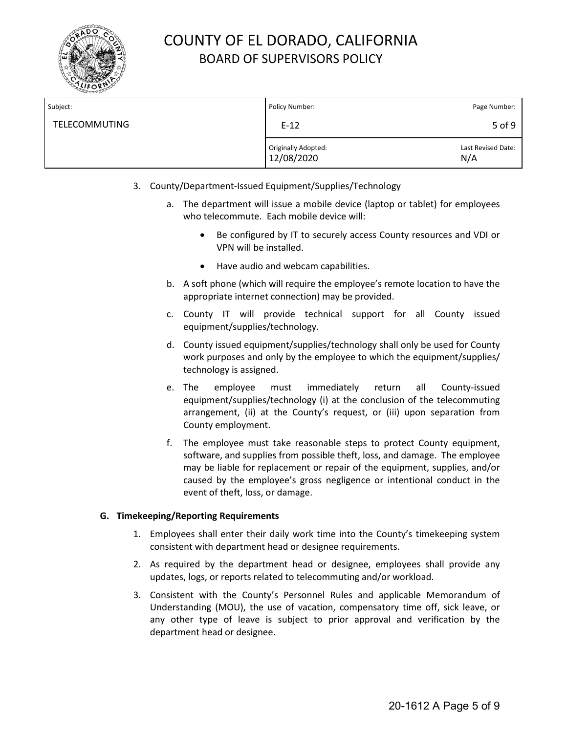

| Subject:             | Policy Number:                    | Page Number:              |
|----------------------|-----------------------------------|---------------------------|
| <b>TELECOMMUTING</b> | $E-12$                            | 5 of 9                    |
|                      | Originally Adopted:<br>12/08/2020 | Last Revised Date:<br>N/A |

- 3. County/Department-Issued Equipment/Supplies/Technology
	- a. The department will issue a mobile device (laptop or tablet) for employees who telecommute. Each mobile device will:
		- Be configured by IT to securely access County resources and VDI or VPN will be installed.
		- Have audio and webcam capabilities.
	- b. A soft phone (which will require the employee's remote location to have the appropriate internet connection) may be provided.
	- c. County IT will provide technical support for all County issued equipment/supplies/technology.
	- d. County issued equipment/supplies/technology shall only be used for County work purposes and only by the employee to which the equipment/supplies/ technology is assigned.
	- e. The employee must immediately return all County-issued equipment/supplies/technology (i) at the conclusion of the telecommuting arrangement, (ii) at the County's request, or (iii) upon separation from County employment.
	- f. The employee must take reasonable steps to protect County equipment, software, and supplies from possible theft, loss, and damage. The employee may be liable for replacement or repair of the equipment, supplies, and/or caused by the employee's gross negligence or intentional conduct in the event of theft, loss, or damage.

### **G. Timekeeping/Reporting Requirements**

- 1. Employees shall enter their daily work time into the County's timekeeping system consistent with department head or designee requirements.
- 2. As required by the department head or designee, employees shall provide any updates, logs, or reports related to telecommuting and/or workload.
- 3. Consistent with the County's Personnel Rules and applicable Memorandum of Understanding (MOU), the use of vacation, compensatory time off, sick leave, or any other type of leave is subject to prior approval and verification by the department head or designee.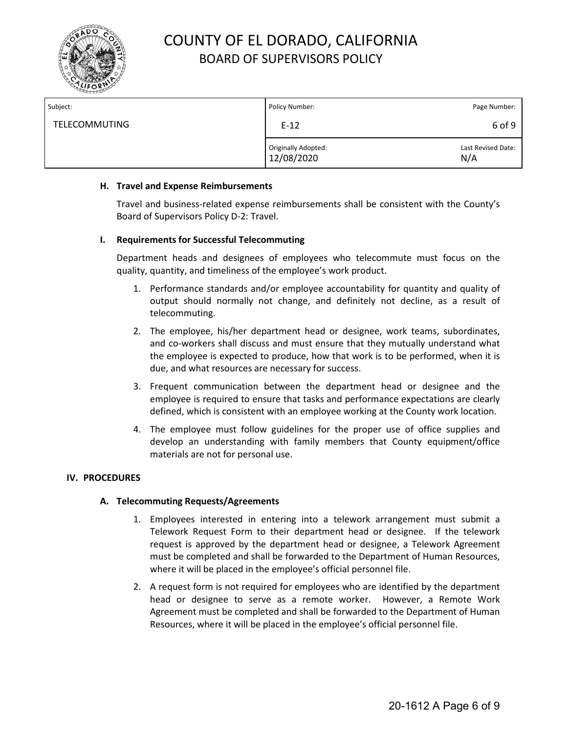

| Subject:             | Policy Number:                    | Page Number:              |
|----------------------|-----------------------------------|---------------------------|
| <b>TELECOMMUTING</b> | $E-12$                            | 6 of 9                    |
|                      | Originally Adopted:<br>12/08/2020 | Last Revised Date:<br>N/A |

#### **H. Travel and Expense Reimbursements**

Travel and business-related expense reimbursements shall be consistent with the County's Board of Supervisors Policy D-2: Travel.

#### **I. Requirements for Successful Telecommuting**

Department heads and designees of employees who telecommute must focus on the quality, quantity, and timeliness of the employee's work product.

- 1. Performance standards and/or employee accountability for quantity and quality of output should normally not change, and definitely not decline, as a result of telecommuting.
- 2. The employee, his/her department head or designee, work teams, subordinates, and co-workers shall discuss and must ensure that they mutually understand what the employee is expected to produce, how that work is to be performed, when it is due, and what resources are necessary for success.
- 3. Frequent communication between the department head or designee and the employee is required to ensure that tasks and performance expectations are clearly defined, which is consistent with an employee working at the County work location.
- 4. The employee must follow guidelines for the proper use of office supplies and develop an understanding with family members that County equipment/office materials are not for personal use.

### **IV. PROCEDURES**

### **A. Telecommuting Requests/Agreements**

- 1. Employees interested in entering into a telework arrangement must submit a Telework Request Form to their department head or designee. If the telework request is approved by the department head or designee, a Telework Agreement must be completed and shall be forwarded to the Department of Human Resources, where it will be placed in the employee's official personnel file.
- 2. A request form is not required for employees who are identified by the department head or designee to serve as a remote worker. However, a Remote Work Agreement must be completed and shall be forwarded to the Department of Human Resources, where it will be placed in the employee's official personnel file.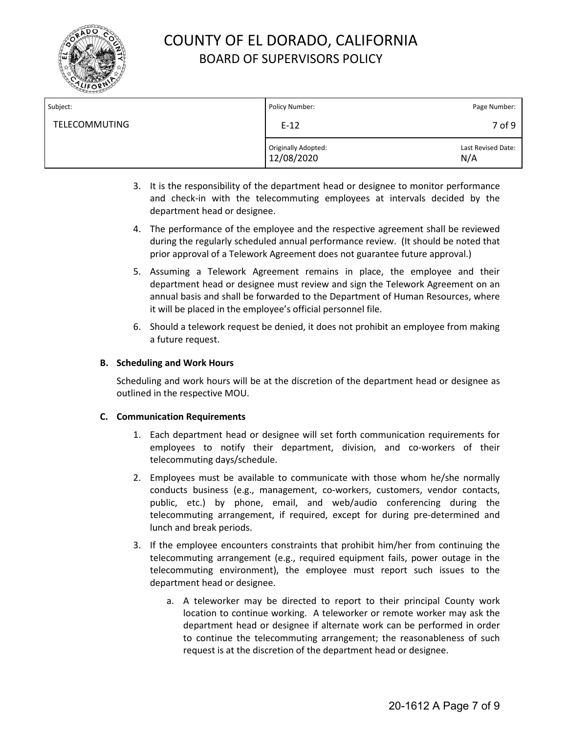

| Subject:             | Policy Number:                    | Page Number:              |
|----------------------|-----------------------------------|---------------------------|
| <b>TELECOMMUTING</b> | $E-12$                            | 7 of 9                    |
|                      | Originally Adopted:<br>12/08/2020 | Last Revised Date:<br>N/A |

- 3. It is the responsibility of the department head or designee to monitor performance and check-in with the telecommuting employees at intervals decided by the department head or designee.
- 4. The performance of the employee and the respective agreement shall be reviewed during the regularly scheduled annual performance review. (It should be noted that prior approval of a Telework Agreement does not guarantee future approval.)
- 5. Assuming a Telework Agreement remains in place, the employee and their department head or designee must review and sign the Telework Agreement on an annual basis and shall be forwarded to the Department of Human Resources, where it will be placed in the employee's official personnel file.
- 6. Should a telework request be denied, it does not prohibit an employee from making a future request.

#### **B. Scheduling and Work Hours**

Scheduling and work hours will be at the discretion of the department head or designee as outlined in the respective MOU.

#### **C. Communication Requirements**

- 1. Each department head or designee will set forth communication requirements for employees to notify their department, division, and co-workers of their telecommuting days/schedule.
- 2. Employees must be available to communicate with those whom he/she normally conducts business (e.g., management, co-workers, customers, vendor contacts, public, etc.) by phone, email, and web/audio conferencing during the telecommuting arrangement, if required, except for during pre-determined and lunch and break periods.
- 3. If the employee encounters constraints that prohibit him/her from continuing the telecommuting arrangement (e.g., required equipment fails, power outage in the telecommuting environment), the employee must report such issues to the department head or designee.
	- a. A teleworker may be directed to report to their principal County work location to continue working. A teleworker or remote worker may ask the department head or designee if alternate work can be performed in order to continue the telecommuting arrangement; the reasonableness of such request is at the discretion of the department head or designee.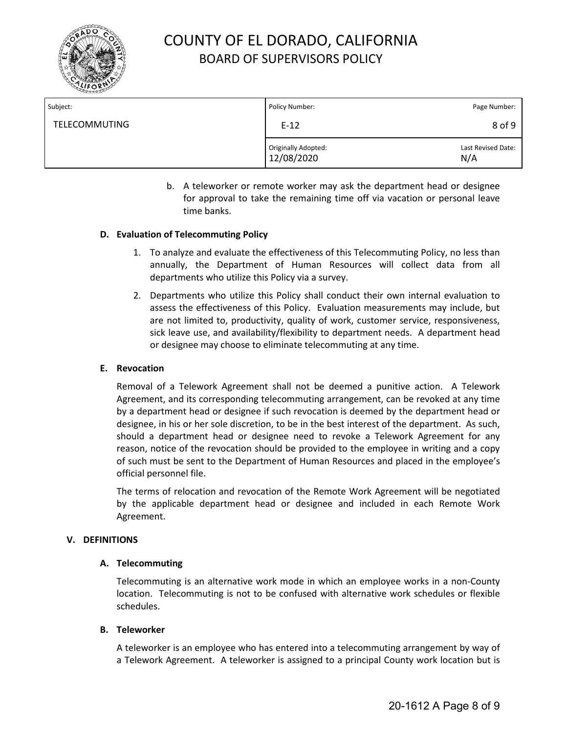

| Subject:             | Policy Number:                    | Page Number:              |
|----------------------|-----------------------------------|---------------------------|
| <b>TELECOMMUTING</b> | $E-12$                            | 8 of 9                    |
|                      | Originally Adopted:<br>12/08/2020 | Last Revised Date:<br>N/A |

b. A teleworker or remote worker may ask the department head or designee for approval to take the remaining time off via vacation or personal leave time banks.

### **D. Evaluation of Telecommuting Policy**

- 1. To analyze and evaluate the effectiveness of this Telecommuting Policy, no less than annually, the Department of Human Resources will collect data from all departments who utilize this Policy via a survey.
- 2. Departments who utilize this Policy shall conduct their own internal evaluation to assess the effectiveness of this Policy. Evaluation measurements may include, but are not limited to, productivity, quality of work, customer service, responsiveness, sick leave use, and availability/flexibility to department needs. A department head or designee may choose to eliminate telecommuting at any time.

### **E. Revocation**

Removal of a Telework Agreement shall not be deemed a punitive action. A Telework Agreement, and its corresponding telecommuting arrangement, can be revoked at any time by a department head or designee if such revocation is deemed by the department head or designee, in his or her sole discretion, to be in the best interest of the department. As such, should a department head or designee need to revoke a Telework Agreement for any reason, notice of the revocation should be provided to the employee in writing and a copy of such must be sent to the Department of Human Resources and placed in the employee's official personnel file.

The terms of relocation and revocation of the Remote Work Agreement will be negotiated by the applicable department head or designee and included in each Remote Work Agreement.

### **V. DEFINITIONS**

### **A. Telecommuting**

Telecommuting is an alternative work mode in which an employee works in a non-County location. Telecommuting is not to be confused with alternative work schedules or flexible schedules.

### **B. Teleworker**

A teleworker is an employee who has entered into a telecommuting arrangement by way of a Telework Agreement. A teleworker is assigned to a principal County work location but is